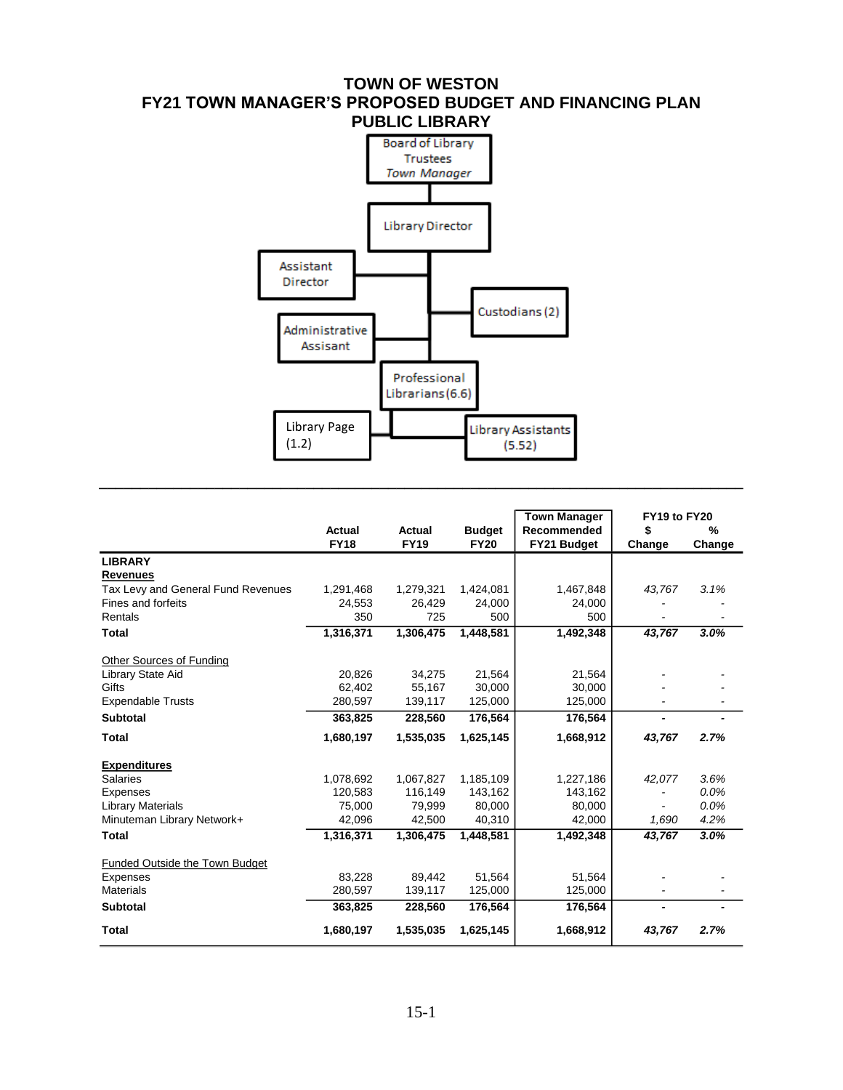### **TOWN OF WESTON FY21 TOWN MANAGER'S PROPOSED BUDGET AND FINANCING PLAN PUBLIC LIBRARY**



**\_\_\_\_\_\_\_\_\_\_\_\_\_\_\_\_\_\_\_\_\_\_\_\_\_\_\_\_\_\_\_\_\_\_\_\_\_\_\_\_\_\_\_\_\_\_\_\_\_\_\_\_\_\_\_\_\_\_\_\_\_\_\_\_\_\_\_\_\_\_\_\_\_\_\_\_\_\_**

|                                    |               |               |               | <b>Town Manager</b> | FY19 to FY20             |        |
|------------------------------------|---------------|---------------|---------------|---------------------|--------------------------|--------|
|                                    | <b>Actual</b> | <b>Actual</b> | <b>Budget</b> | Recommended         | \$                       | %      |
|                                    | <b>FY18</b>   | <b>FY19</b>   | <b>FY20</b>   | FY21 Budget         | Change                   | Change |
| <b>LIBRARY</b>                     |               |               |               |                     |                          |        |
| <b>Revenues</b>                    |               |               |               |                     |                          |        |
| Tax Levy and General Fund Revenues | 1,291,468     | 1,279,321     | 1,424,081     | 1,467,848           | 43,767                   | 3.1%   |
| Fines and forfeits                 | 24.553        | 26.429        | 24,000        | 24,000              |                          |        |
| Rentals                            | 350           | 725           | 500           | 500                 |                          |        |
| <b>Total</b>                       | 1,316,371     | 1,306,475     | 1,448,581     | 1,492,348           | 43,767                   | 3.0%   |
| <b>Other Sources of Funding</b>    |               |               |               |                     |                          |        |
| Library State Aid                  | 20,826        | 34,275        | 21,564        | 21,564              |                          |        |
| Gifts                              | 62.402        | 55,167        | 30,000        | 30,000              |                          |        |
| <b>Expendable Trusts</b>           | 280,597       | 139,117       | 125,000       | 125,000             |                          |        |
| <b>Subtotal</b>                    | 363,825       | 228,560       | 176,564       | 176,564             | $\overline{a}$           |        |
| <b>Total</b>                       | 1,680,197     | 1,535,035     | 1,625,145     | 1,668,912           | 43,767                   | 2.7%   |
| <b>Expenditures</b>                |               |               |               |                     |                          |        |
| <b>Salaries</b>                    | 1,078,692     | 1,067,827     | 1,185,109     | 1,227,186           | 42,077                   | 3.6%   |
| <b>Expenses</b>                    | 120,583       | 116,149       | 143,162       | 143,162             |                          | 0.0%   |
| <b>Library Materials</b>           | 75,000        | 79,999        | 80,000        | 80,000              |                          | 0.0%   |
| Minuteman Library Network+         | 42,096        | 42,500        | 40,310        | 42,000              | 1,690                    | 4.2%   |
| <b>Total</b>                       | 1,316,371     | 1,306,475     | 1,448,581     | 1,492,348           | 43,767                   | 3.0%   |
| Funded Outside the Town Budget     |               |               |               |                     |                          |        |
| <b>Expenses</b>                    | 83,228        | 89.442        | 51,564        | 51,564              |                          |        |
| <b>Materials</b>                   | 280,597       | 139,117       | 125,000       | 125,000             |                          |        |
| <b>Subtotal</b>                    | 363,825       | 228,560       | 176,564       | 176,564             | $\overline{\phantom{a}}$ |        |
| <b>Total</b>                       | 1,680,197     | 1,535,035     | 1,625,145     | 1,668,912           | 43,767                   | 2.7%   |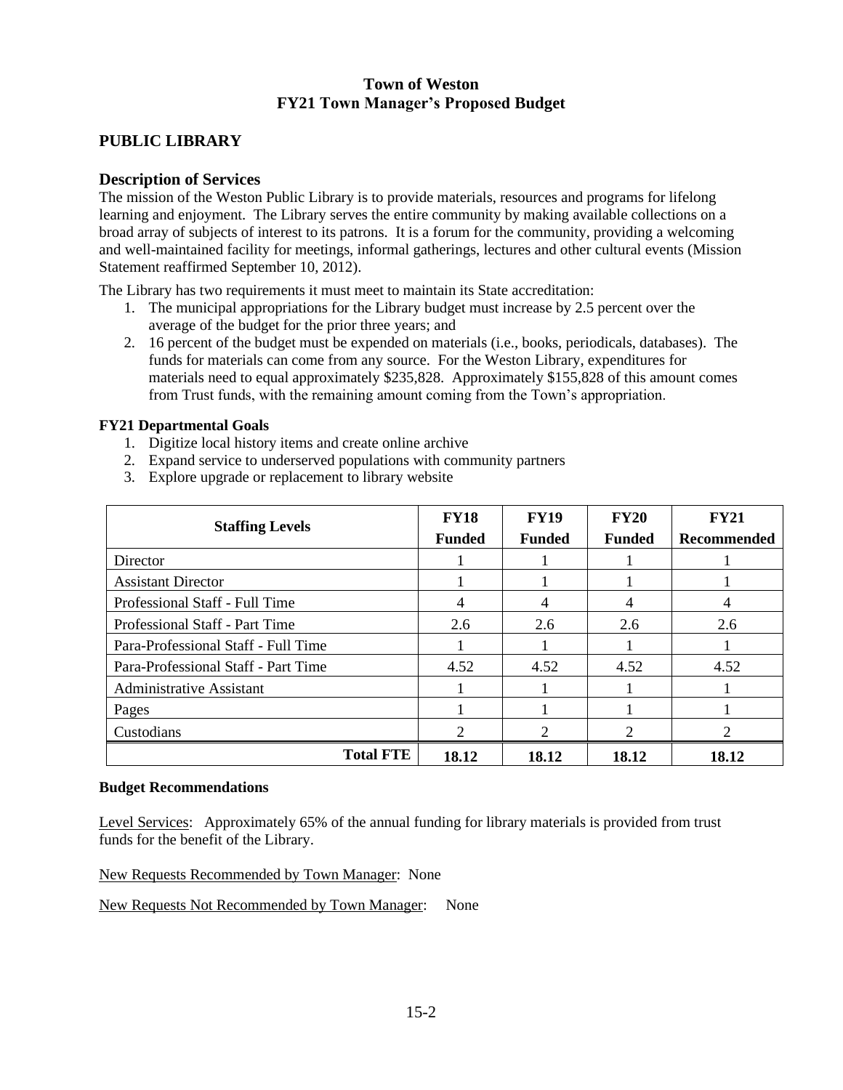## **Town of Weston FY21 Town Manager's Proposed Budget**

## **PUBLIC LIBRARY**

#### **Description of Services**

The mission of the Weston Public Library is to provide materials, resources and programs for lifelong learning and enjoyment. The Library serves the entire community by making available collections on a broad array of subjects of interest to its patrons. It is a forum for the community, providing a welcoming and well-maintained facility for meetings, informal gatherings, lectures and other cultural events (Mission Statement reaffirmed September 10, 2012).

The Library has two requirements it must meet to maintain its State accreditation:

- 1. The municipal appropriations for the Library budget must increase by 2.5 percent over the average of the budget for the prior three years; and
- 2. 16 percent of the budget must be expended on materials (i.e., books, periodicals, databases). The funds for materials can come from any source. For the Weston Library, expenditures for materials need to equal approximately \$235,828. Approximately \$155,828 of this amount comes from Trust funds, with the remaining amount coming from the Town's appropriation.

#### **FY21 Departmental Goals**

- 1. Digitize local history items and create online archive
- 2. Expand service to underserved populations with community partners
- 3. Explore upgrade or replacement to library website

| <b>Staffing Levels</b>              | <b>FY18</b>    | <b>FY19</b>                   | <b>FY20</b>           | FY21        |
|-------------------------------------|----------------|-------------------------------|-----------------------|-------------|
|                                     | <b>Funded</b>  | <b>Funded</b>                 | <b>Funded</b>         | Recommended |
| Director                            |                |                               |                       |             |
| <b>Assistant Director</b>           |                |                               |                       |             |
| Professional Staff - Full Time      | 4              | 4                             | 4                     |             |
| Professional Staff - Part Time      | 2.6            | 2.6                           | 2.6                   | 2.6         |
| Para-Professional Staff - Full Time |                |                               |                       |             |
| Para-Professional Staff - Part Time | 4.52           | 4.52                          | 4.52                  | 4.52        |
| <b>Administrative Assistant</b>     |                |                               |                       |             |
| Pages                               |                |                               |                       |             |
| Custodians                          | $\overline{2}$ | $\mathfrak{D}_{\mathfrak{p}}$ | $\mathcal{D}_{\cdot}$ |             |
| <b>Total FTE</b>                    | 18.12          | 18.12                         | 18.12                 | 18.12       |

#### **Budget Recommendations**

Level Services: Approximately 65% of the annual funding for library materials is provided from trust funds for the benefit of the Library.

New Requests Recommended by Town Manager: None

New Requests Not Recommended by Town Manager: None